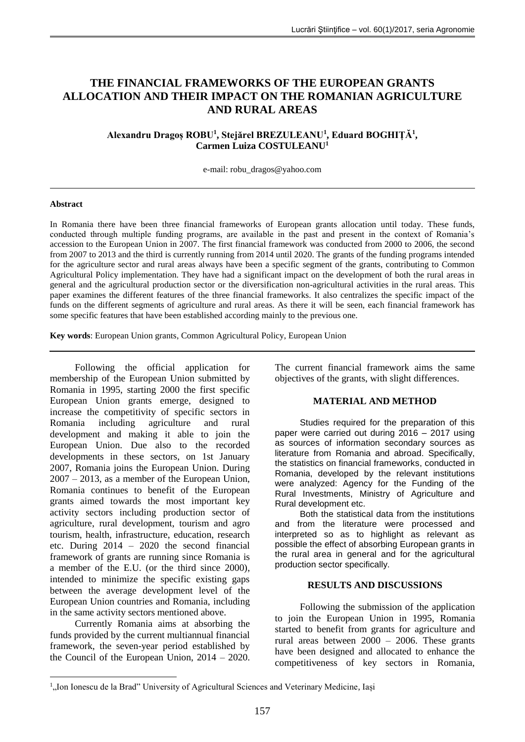# **THE FINANCIAL FRAMEWORKS OF THE EUROPEAN GRANTS ALLOCATION AND THEIR IMPACT ON THE ROMANIAN AGRICULTURE AND RURAL AREAS**

## **Alexandru Dragoș ROBU<sup>1</sup> , Stejărel BREZULEANU<sup>1</sup> , Eduard BOGHIȚĂ<sup>1</sup> , Carmen Luiza COSTULEANU<sup>1</sup>**

e-mail: robu\_dragos@yahoo.com

### **Abstract**

In Romania there have been three financial frameworks of European grants allocation until today. These funds, conducted through multiple funding programs, are available in the past and present in the context of Romania's accession to the European Union in 2007. The first financial framework was conducted from 2000 to 2006, the second from 2007 to 2013 and the third is currently running from 2014 until 2020. The grants of the funding programs intended for the agriculture sector and rural areas always have been a specific segment of the grants, contributing to Common Agricultural Policy implementation. They have had a significant impact on the development of both the rural areas in general and the agricultural production sector or the diversification non-agricultural activities in the rural areas. This paper examines the different features of the three financial frameworks. It also centralizes the specific impact of the funds on the different segments of agriculture and rural areas. As there it will be seen, each financial framework has some specific features that have been established according mainly to the previous one.

**Key words**: European Union grants, Common Agricultural Policy, European Union

Following the official application for membership of the European Union submitted by Romania in 1995, starting 2000 the first specific European Union grants emerge, designed to increase the competitivity of specific sectors in Romania including agriculture and rural development and making it able to join the European Union. Due also to the recorded developments in these sectors, on 1st January 2007, Romania joins the European Union. During 2007 – 2013, as a member of the European Union, Romania continues to benefit of the European grants aimed towards the most important key activity sectors including production sector of agriculture, rural development, tourism and agro tourism, health, infrastructure, education, research etc. During 2014 – 2020 the second financial framework of grants are running since Romania is a member of the E.U. (or the third since 2000), intended to minimize the specific existing gaps between the average development level of the European Union countries and Romania, including in the same activity sectors mentioned above.

Currently Romania aims at absorbing the funds provided by the current multiannual financial framework, the seven-year period established by the Council of the European Union, 2014 – 2020.

1

The current financial framework aims the same objectives of the grants, with slight differences.

## **MATERIAL AND METHOD**

Studies required for the preparation of this paper were carried out during 2016 – 2017 using as sources of information secondary sources as literature from Romania and abroad. Specifically, the statistics on financial frameworks, conducted in Romania, developed by the relevant institutions were analyzed: Agency for the Funding of the Rural Investments, Ministry of Agriculture and Rural development etc.

Both the statistical data from the institutions and from the literature were processed and interpreted so as to highlight as relevant as possible the effect of absorbing European grants in the rural area in general and for the agricultural production sector specifically.

## **RESULTS AND DISCUSSIONS**

Following the submission of the application to join the European Union in 1995, Romania started to benefit from grants for agriculture and rural areas between 2000 – 2006. These grants have been designed and allocated to enhance the competitiveness of key sectors in Romania,

<sup>&</sup>lt;sup>1</sup>,,Ion Ionescu de la Brad" University of Agricultural Sciences and Veterinary Medicine, Iași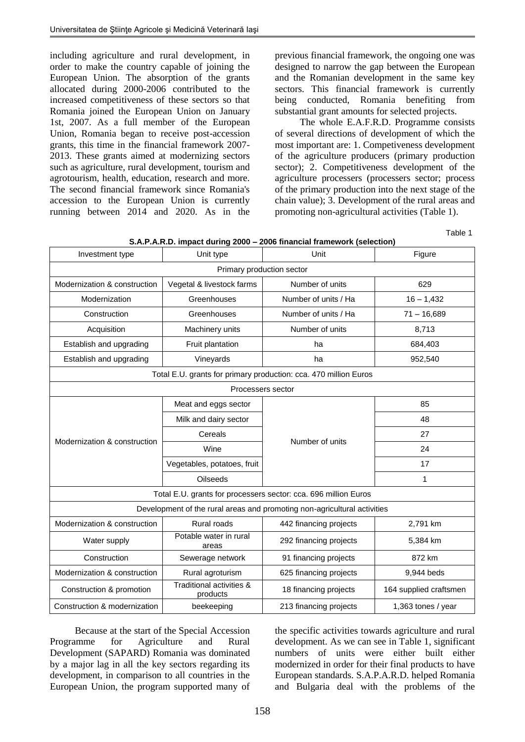including agriculture and rural development, in order to make the country capable of joining the European Union. The absorption of the grants allocated during 2000-2006 contributed to the increased competitiveness of these sectors so that Romania joined the European Union on January 1st, 2007. As a full member of the European Union, Romania began to receive post-accession grants, this time in the financial framework 2007- 2013. These grants aimed at modernizing sectors such as agriculture, rural development, tourism and agrotourism, health, education, research and more. The second financial framework since Romania's accession to the European Union is currently running between 2014 and 2020. As in the previous financial framework, the ongoing one was designed to narrow the gap between the European and the Romanian development in the same key sectors. This financial framework is currently being conducted, Romania benefiting from substantial grant amounts for selected projects.

The whole E.A.F.R.D. Programme consists of several directions of development of which the most important are: 1. Competiveness development of the agriculture producers (primary production sector); 2. Competitiveness development of the agriculture processers (processers sector; process of the primary production into the next stage of the chain value); 3. Development of the rural areas and promoting non-agricultural activities (Table 1).

Table 1

| S.A.P.A.R.D. impact during 2000 - 2006 financial framework (selection)   |                                                               |                        |                        |  |  |  |  |
|--------------------------------------------------------------------------|---------------------------------------------------------------|------------------------|------------------------|--|--|--|--|
| Investment type                                                          | Unit type                                                     | Unit                   | Figure                 |  |  |  |  |
| Primary production sector                                                |                                                               |                        |                        |  |  |  |  |
| Modernization & construction                                             | Vegetal & livestock farms                                     | Number of units        | 629                    |  |  |  |  |
| Modernization                                                            | Number of units / Ha<br>Greenhouses                           |                        | $16 - 1,432$           |  |  |  |  |
| Construction                                                             | Greenhouses                                                   | Number of units / Ha   | $71 - 16,689$          |  |  |  |  |
| Acquisition                                                              | Machinery units                                               | Number of units        | 8,713                  |  |  |  |  |
| Establish and upgrading                                                  | Fruit plantation                                              | ha                     | 684,403                |  |  |  |  |
| Establish and upgrading                                                  | Vineyards                                                     | ha                     | 952,540                |  |  |  |  |
| Total E.U. grants for primary production: cca. 470 million Euros         |                                                               |                        |                        |  |  |  |  |
| Processers sector                                                        |                                                               |                        |                        |  |  |  |  |
|                                                                          | Meat and eggs sector                                          |                        | 85                     |  |  |  |  |
| Modernization & construction                                             | Milk and dairy sector                                         |                        | 48                     |  |  |  |  |
|                                                                          | Cereals                                                       |                        | 27                     |  |  |  |  |
|                                                                          | Wine                                                          | Number of units        | 24                     |  |  |  |  |
|                                                                          | Vegetables, potatoes, fruit                                   |                        | 17                     |  |  |  |  |
|                                                                          | <b>Oilseeds</b>                                               |                        | 1                      |  |  |  |  |
| Total E.U. grants for processers sector: cca. 696 million Euros          |                                                               |                        |                        |  |  |  |  |
| Development of the rural areas and promoting non-agricultural activities |                                                               |                        |                        |  |  |  |  |
| Modernization & construction                                             | Rural roads                                                   | 442 financing projects | 2,791 km               |  |  |  |  |
| Water supply                                                             | Potable water in rural<br>areas                               | 292 financing projects | 5,384 km               |  |  |  |  |
| Construction                                                             | Sewerage network                                              | 91 financing projects  | 872 km                 |  |  |  |  |
| Modernization & construction                                             | Rural agroturism                                              | 625 financing projects | 9,944 beds             |  |  |  |  |
| Construction & promotion                                                 | Traditional activities &<br>18 financing projects<br>products |                        | 164 supplied craftsmen |  |  |  |  |
| Construction & modernization                                             | beekeeping                                                    | 213 financing projects | 1,363 tones / year     |  |  |  |  |

Because at the start of the Special Accession Programme for Agriculture and Rural Development (SAPARD) Romania was dominated by a major lag in all the key sectors regarding its development, in comparison to all countries in the European Union, the program supported many of the specific activities towards agriculture and rural development. As we can see in Table 1, significant numbers of units were either built either modernized in order for their final products to have European standards. S.A.P.A.R.D. helped Romania and Bulgaria deal with the problems of the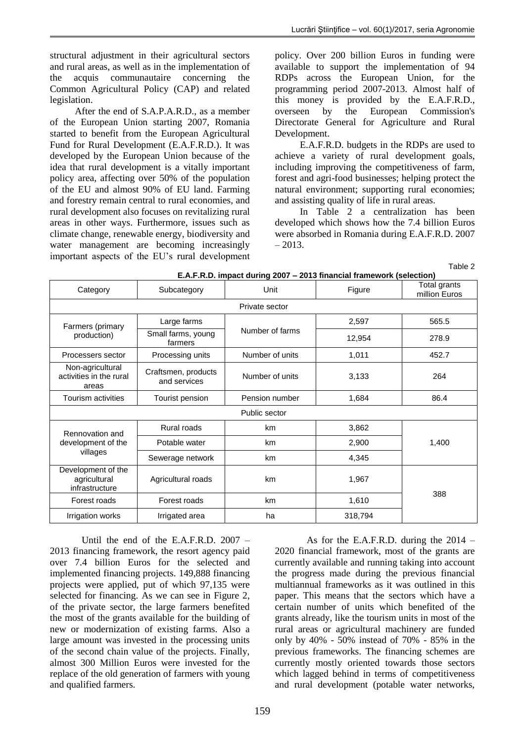structural adjustment in their agricultural sectors and rural areas, as well as in the implementation of the acquis communautaire concerning the Common Agricultural Policy (CAP) and related legislation.

After the end of S.A.P.A.R.D., as a member of the European Union starting 2007, Romania started to benefit from the European Agricultural Fund for Rural Development (E.A.F.R.D.). It was developed by the European Union because of the idea that rural development is a vitally important policy area, affecting over 50% of the population of the EU and almost 90% of EU land. Farming and forestry remain central to rural economies, and rural development also focuses on revitalizing rural areas in other ways. Furthermore, issues such as climate change, renewable energy, biodiversity and water management are becoming increasingly important aspects of the EU's rural development policy. Over 200 billion Euros in funding were available to support the implementation of 94 RDPs across the European Union, for the programming period 2007-2013. Almost half of this money is provided by the E.A.F.R.D., overseen by the European Commission's Directorate General for Agriculture and Rural Development.

E.A.F.R.D. budgets in the RDPs are used to achieve a variety of rural development goals, including improving the competitiveness of farm, forest and agri-food businesses; helping protect the natural environment; supporting rural economies; and assisting quality of life in rural areas.

In Table 2 a centralization has been developed which shows how the 7.4 billion Euros were absorbed in Romania during E.A.F.R.D. 2007 – 2013.

Table 2

| E.A.F.R.D. impact during 2007 - 2013 financial framework (selection) |                                     |                 |         |                               |  |  |
|----------------------------------------------------------------------|-------------------------------------|-----------------|---------|-------------------------------|--|--|
| Category                                                             | Subcategory                         | Unit            | Figure  | Total grants<br>million Euros |  |  |
| Private sector                                                       |                                     |                 |         |                               |  |  |
| Farmers (primary<br>production)                                      | Large farms                         | Number of farms | 2,597   | 565.5                         |  |  |
|                                                                      | Small farms, young<br>farmers       |                 | 12,954  | 278.9                         |  |  |
| Processers sector                                                    | Processing units                    | Number of units | 1,011   | 452.7                         |  |  |
| Non-agricultural<br>activities in the rural<br>areas                 | Craftsmen, products<br>and services | Number of units | 3,133   | 264                           |  |  |
| Tourism activities                                                   | Tourist pension                     | Pension number  | 1,684   | 86.4                          |  |  |
| Public sector                                                        |                                     |                 |         |                               |  |  |
| Rennovation and<br>development of the<br>villages                    | Rural roads                         | km              | 3,862   | 1,400                         |  |  |
|                                                                      | Potable water                       | km              | 2,900   |                               |  |  |
|                                                                      | Sewerage network                    | km              | 4,345   |                               |  |  |
| Development of the<br>agricultural<br>infrastructure                 | Agricultural roads                  | km              | 1,967   | 388                           |  |  |
| Forest roads                                                         | Forest roads                        | km              | 1,610   |                               |  |  |
| Irrigation works                                                     | Irrigated area                      | ha              | 318,794 |                               |  |  |

Until the end of the E.A.F.R.D. 2007 – 2013 financing framework, the resort agency paid over 7.4 billion Euros for the selected and implemented financing projects. 149,888 financing projects were applied, put of which 97,135 were selected for financing. As we can see in Figure 2, of the private sector, the large farmers benefited the most of the grants available for the building of new or modernization of existing farms. Also a large amount was invested in the processing units of the second chain value of the projects. Finally, almost 300 Million Euros were invested for the replace of the old generation of farmers with young and qualified farmers.

As for the E.A.F.R.D. during the 2014 – 2020 financial framework, most of the grants are currently available and running taking into account the progress made during the previous financial multiannual frameworks as it was outlined in this paper. This means that the sectors which have a certain number of units which benefited of the grants already, like the tourism units in most of the rural areas or agricultural machinery are funded only by 40% - 50% instead of 70% - 85% in the previous frameworks. The financing schemes are currently mostly oriented towards those sectors which lagged behind in terms of competitiveness and rural development (potable water networks,